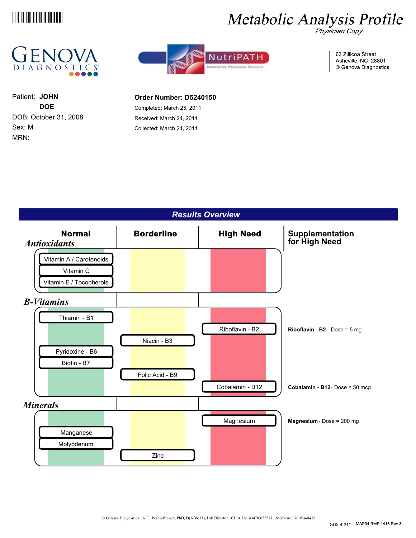

# Metabolic Analysis Profile





63 Zillicoa Street Asheville, NC 28801 © Genova Diagnostics

MRN: Sex: M DOB: October 31, 2008 **DOE** Patient: **JOHN**

### **Order Number: D5240150**

Completed: March 25, 2011 Received: March 24, 2011 Collected: March 24, 2011

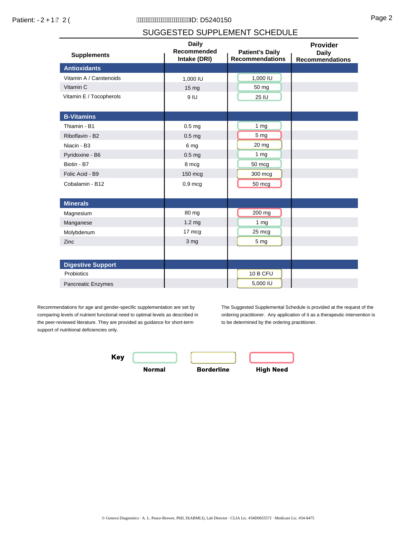## SUGGESTED SUPPLEMENT SCHEDULE

| <b>Supplements</b>       | <b>Daily</b><br>Recommended<br>Intake (DRI) | <b>Patient's Daily</b><br><b>Recommendations</b> | Provider<br><b>Daily</b><br><b>Recommendations</b> |
|--------------------------|---------------------------------------------|--------------------------------------------------|----------------------------------------------------|
| <b>Antioxidants</b>      |                                             |                                                  |                                                    |
| Vitamin A / Carotenoids  | 1,000 IU                                    | 1,000 IU                                         |                                                    |
| Vitamin C                | 15 <sub>mg</sub>                            | 50 mg                                            |                                                    |
| Vitamin E / Tocopherols  | 9 IU                                        | 25 IU                                            |                                                    |
| <b>B-Vitamins</b>        |                                             |                                                  |                                                    |
| Thiamin - B1             | 0.5 <sub>mg</sub>                           | 1 <sub>mg</sub>                                  |                                                    |
| Riboflavin - B2          | 0.5 <sub>mg</sub>                           | 5 mg                                             |                                                    |
| Niacin - B3              | 6 mg                                        | $20 \, mg$                                       |                                                    |
| Pyridoxine - B6          | 0.5 <sub>mg</sub>                           | 1 <sub>mg</sub>                                  |                                                    |
| Biotin - B7              | 8 mcg                                       | 50 mcg                                           |                                                    |
| Folic Acid - B9          | 150 mcg                                     | 300 mcg                                          |                                                    |
| Cobalamin - B12          | $0.9$ mcg                                   | 50 mcg                                           |                                                    |
| <b>Minerals</b>          |                                             |                                                  |                                                    |
| Magnesium                | 80 mg                                       | 200 mg                                           |                                                    |
| Manganese                | 1.2 <sub>mg</sub>                           | 1 <sub>mg</sub>                                  |                                                    |
| Molybdenum               | 17 mcg                                      | 25 mcg                                           |                                                    |
| Zinc                     | 3 mg                                        | 5 <sub>mg</sub>                                  |                                                    |
|                          |                                             |                                                  |                                                    |
| <b>Digestive Support</b> |                                             |                                                  |                                                    |
| Probiotics               |                                             | 10 B CFU                                         |                                                    |
| Pancreatic Enzymes       |                                             | 5,000 IU                                         |                                                    |

Recommendations for age and gender-specific supplementation are set by comparing levels of nutrient functional need to optimal levels as described in the peer-reviewed literature. They are provided as guidance for short-term support of nutritional deficiencies only.

The Suggested Supplemental Schedule is provided at the request of the ordering practitioner. Any application of it as a therapeutic intervention is to be determined by the ordering practitioner.

Key **Normal Borderline High Need**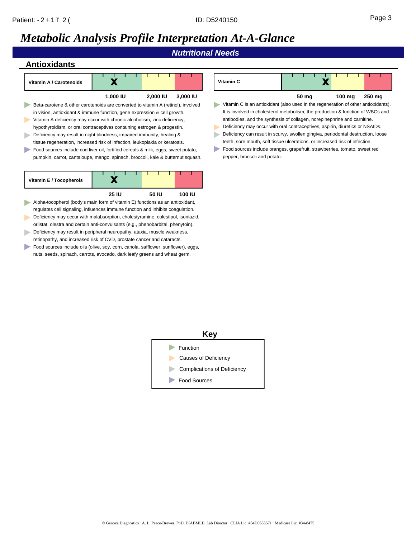*Nutritional Needs*



| Vitamin C |       |                  |        |
|-----------|-------|------------------|--------|
|           | 50 mg | $100 \text{ mg}$ | 250 mg |

- Vitamin C is an antioxidant (also used in the regeneration of other antioxidants). It is involved in cholesterol metabolism, the production & function of WBCs and antibodies, and the synthesis of collagen, norepinephrine and carnitine.
- Deficiency may occur with oral contraceptives, aspirin, diuretics or NSAIDs.
- Deficiency can result in scurvy, swollen gingiva, periodontal destruction, loose teeth, sore mouth, soft tissue ulcerations, or increased risk of infection.
- Food sources include oranges, grapefruit, strawberries, tomato, sweet red pepper, broccoli and potato.

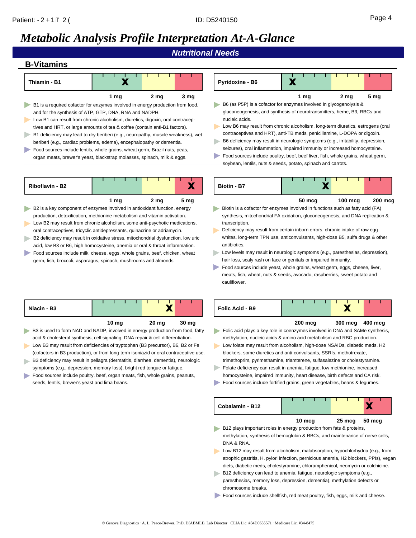## *Metabolic Analysis Profile Interpretation At-A-Glance*

*Nutritional Needs*

## **B-Vitamins**

| Х                                                                                                                                                                                                                                                                                                                                                                                                                                                                                                                                                                                                                                                                             | Х                                                                                                                                                                                                                                                                                                                                                                                                                                                                                                                                                                                                                                                                                                                                                       |  |  |  |  |  |  |  |
|-------------------------------------------------------------------------------------------------------------------------------------------------------------------------------------------------------------------------------------------------------------------------------------------------------------------------------------------------------------------------------------------------------------------------------------------------------------------------------------------------------------------------------------------------------------------------------------------------------------------------------------------------------------------------------|---------------------------------------------------------------------------------------------------------------------------------------------------------------------------------------------------------------------------------------------------------------------------------------------------------------------------------------------------------------------------------------------------------------------------------------------------------------------------------------------------------------------------------------------------------------------------------------------------------------------------------------------------------------------------------------------------------------------------------------------------------|--|--|--|--|--|--|--|
| Thiamin - B1                                                                                                                                                                                                                                                                                                                                                                                                                                                                                                                                                                                                                                                                  | Pyridoxine - B6                                                                                                                                                                                                                                                                                                                                                                                                                                                                                                                                                                                                                                                                                                                                         |  |  |  |  |  |  |  |
| 2 <sub>mg</sub><br>1 mg<br>3 mg<br>B1 is a required cofactor for enzymes involved in energy production from food,<br>and for the synthesis of ATP, GTP, DNA, RNA and NADPH.<br>Low B1 can result from chronic alcoholism, diuretics, digoxin, oral contracep-<br>tives and HRT, or large amounts of tea & coffee (contain anti-B1 factors).<br>B1 deficiency may lead to dry beriberi (e.g., neuropathy, muscle weakness), wet<br>beriberi (e.g., cardiac problems, edema), encephalopathy or dementia.<br>Food sources include lentils, whole grains, wheat germ, Brazil nuts, peas,<br>organ meats, brewer's yeast, blackstrap molasses, spinach, milk & eggs.              | 2 <sub>mg</sub><br>5 <sub>mg</sub><br>1 mg<br>B6 (as P5P) is a cofactor for enzymes involved in glycogenolysis &<br>gluconeogenesis, and synthesis of neurotransmitters, heme, B3, RBCs and<br>nucleic acids.<br>Low B6 may result from chronic alcoholism, long-term diuretics, estrogens (oral<br>contraceptives and HRT), anti-TB meds, penicillamine, L-DOPA or digoxin.<br>B6 deficiency may result in neurologic symptoms (e.g., irritability, depression,<br>seizures), oral inflammation, impaired immunity or increased homocysteine.<br>Food sources include poultry, beef, beef liver, fish, whole grains, wheat germ,<br>soybean, lentils, nuts & seeds, potato, spinach and carrots.                                                       |  |  |  |  |  |  |  |
| Х                                                                                                                                                                                                                                                                                                                                                                                                                                                                                                                                                                                                                                                                             | Х                                                                                                                                                                                                                                                                                                                                                                                                                                                                                                                                                                                                                                                                                                                                                       |  |  |  |  |  |  |  |
| <b>Riboflavin - B2</b>                                                                                                                                                                                                                                                                                                                                                                                                                                                                                                                                                                                                                                                        | <b>Biotin - B7</b>                                                                                                                                                                                                                                                                                                                                                                                                                                                                                                                                                                                                                                                                                                                                      |  |  |  |  |  |  |  |
| 2 <sub>mg</sub><br>5 mg<br>1 mg<br>B2 is a key component of enzymes involved in antioxidant function, energy<br>production, detoxification, methionine metabolism and vitamin activation.<br>Low B2 may result from chronic alcoholism, some anti-psychotic medications,<br>oral contraceptives, tricyclic antidepressants, quinacrine or adriamycin.<br>B2 deficiency may result in oxidative stress, mitochondrial dysfunction, low uric<br>acid, low B3 or B6, high homocysteine, anemia or oral & throat inflammation.<br>Food sources include milk, cheese, eggs, whole grains, beef, chicken, wheat<br>germ, fish, broccoli, asparagus, spinach, mushrooms and almonds. | $100 \text{ mc}$ g<br>$50 \text{ mcg}$<br>$200$ mcg<br>Biotin is a cofactor for enzymes involved in functions such as fatty acid (FA)<br>synthesis, mitochondrial FA oxidation, gluconeogenesis, and DNA replication &<br>transcription.<br>Deficiency may result from certain inborn errors, chronic intake of raw egg<br>whites, long-term TPN use, anticonvulsants, high-dose B5, sulfa drugs & other<br>antibiotics.<br>Low levels may result in neurologic symptoms (e.g., paresthesias, depression),<br>hair loss, scaly rash on face or genitals or impaired immunity.<br>Food sources include yeast, whole grains, wheat germ, eggs, cheese, liver,<br>meats, fish, wheat, nuts & seeds, avocado, raspberries, sweet potato and<br>cauliflower. |  |  |  |  |  |  |  |
| X                                                                                                                                                                                                                                                                                                                                                                                                                                                                                                                                                                                                                                                                             | X                                                                                                                                                                                                                                                                                                                                                                                                                                                                                                                                                                                                                                                                                                                                                       |  |  |  |  |  |  |  |
| Niacin - B3                                                                                                                                                                                                                                                                                                                                                                                                                                                                                                                                                                                                                                                                   | Folic Acid - B9                                                                                                                                                                                                                                                                                                                                                                                                                                                                                                                                                                                                                                                                                                                                         |  |  |  |  |  |  |  |
| 20 <sub>mg</sub>                                                                                                                                                                                                                                                                                                                                                                                                                                                                                                                                                                                                                                                              | $200$ mcg                                                                                                                                                                                                                                                                                                                                                                                                                                                                                                                                                                                                                                                                                                                                               |  |  |  |  |  |  |  |
| 10 $mg$                                                                                                                                                                                                                                                                                                                                                                                                                                                                                                                                                                                                                                                                       | $300 \text{ mcg}$                                                                                                                                                                                                                                                                                                                                                                                                                                                                                                                                                                                                                                                                                                                                       |  |  |  |  |  |  |  |
| 30 mg                                                                                                                                                                                                                                                                                                                                                                                                                                                                                                                                                                                                                                                                         | 400 mcg                                                                                                                                                                                                                                                                                                                                                                                                                                                                                                                                                                                                                                                                                                                                                 |  |  |  |  |  |  |  |
| B3 is used to form NAD and NADP, involved in energy production from food, fatty                                                                                                                                                                                                                                                                                                                                                                                                                                                                                                                                                                                               | Folic acid plays a key role in coenzymes involved in DNA and SAMe synthesis,                                                                                                                                                                                                                                                                                                                                                                                                                                                                                                                                                                                                                                                                            |  |  |  |  |  |  |  |
| acid & cholesterol synthesis, cell signaling, DNA repair & cell differentiation.                                                                                                                                                                                                                                                                                                                                                                                                                                                                                                                                                                                              | methylation, nucleic acids & amino acid metabolism and RBC production.                                                                                                                                                                                                                                                                                                                                                                                                                                                                                                                                                                                                                                                                                  |  |  |  |  |  |  |  |
| Low B3 may result from deficiencies of tryptophan (B3 precursor), B6, B2 or Fe                                                                                                                                                                                                                                                                                                                                                                                                                                                                                                                                                                                                | Low folate may result from alcoholism, high-dose NSAIDs, diabetic meds, H2                                                                                                                                                                                                                                                                                                                                                                                                                                                                                                                                                                                                                                                                              |  |  |  |  |  |  |  |
| (cofactors in B3 production), or from long-term isoniazid or oral contraceptive use.                                                                                                                                                                                                                                                                                                                                                                                                                                                                                                                                                                                          | blockers, some diuretics and anti-convulsants, SSRIs, methotrexate,                                                                                                                                                                                                                                                                                                                                                                                                                                                                                                                                                                                                                                                                                     |  |  |  |  |  |  |  |
| B3 deficiency may result in pellagra (dermatitis, diarrhea, dementia), neurologic                                                                                                                                                                                                                                                                                                                                                                                                                                                                                                                                                                                             | trimethoprim, pyrimethamine, triamterene, sulfasalazine or cholestyramine.                                                                                                                                                                                                                                                                                                                                                                                                                                                                                                                                                                                                                                                                              |  |  |  |  |  |  |  |
| symptoms (e.g., depression, memory loss), bright red tongue or fatigue.                                                                                                                                                                                                                                                                                                                                                                                                                                                                                                                                                                                                       | Folate deficiency can result in anemia, fatigue, low methionine, increased                                                                                                                                                                                                                                                                                                                                                                                                                                                                                                                                                                                                                                                                              |  |  |  |  |  |  |  |
| Food sources include poultry, beef, organ meats, fish, whole grains, peanuts,                                                                                                                                                                                                                                                                                                                                                                                                                                                                                                                                                                                                 | homocysteine, impaired immunity, heart disease, birth defects and CA risk.                                                                                                                                                                                                                                                                                                                                                                                                                                                                                                                                                                                                                                                                              |  |  |  |  |  |  |  |
| seeds, lentils, brewer's yeast and lima beans.                                                                                                                                                                                                                                                                                                                                                                                                                                                                                                                                                                                                                                | Food sources include fortified grains, green vegetables, beans & legumes.                                                                                                                                                                                                                                                                                                                                                                                                                                                                                                                                                                                                                                                                               |  |  |  |  |  |  |  |

**Cobalamin - B12**

DNA & RNA.

chromosome breaks.

B12 plays important roles in energy production from fats & proteins,

B12 deficiency can lead to anemia, fatigue, neurologic symptoms (e.g., paresthesias, memory loss, depression, dementia), methylation defects or

Food sources include shellfish, red meat poultry, fish, eggs, milk and cheese.

methylation, synthesis of hemoglobin & RBCs, and maintenance of nerve cells,

**10 mcg 25 mcg 50 mcg**

X

Low B12 may result from alcoholism, malabsorption, hypochlorhydria (e.g., from atrophic gastritis, H. pylori infection, pernicious anemia, H2 blockers, PPIs), vegan diets, diabetic meds, cholestyramine, chloramphenicol, neomycin or colchicine.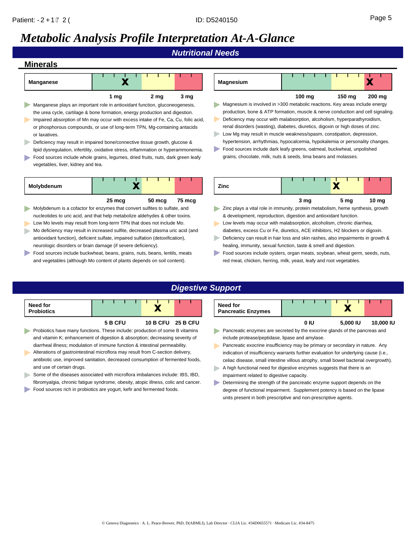## *Metabolic Analysis Profile Interpretation At-A-Glance*

*Nutritional Needs*

### **Minerals**

| Manganese                                                                   |      |      |      |  |  |  |  |  |  |  |  |
|-----------------------------------------------------------------------------|------|------|------|--|--|--|--|--|--|--|--|
|                                                                             | 1 mg | 2 mg | 3 mg |  |  |  |  |  |  |  |  |
| Manganese plays an important role in antioxidant function, gluconeogenesis, |      |      |      |  |  |  |  |  |  |  |  |

- the urea cycle, cartilage & bone formation, energy production and digestion. Impaired absorption of Mn may occur with excess intake of Fe, Ca, Cu, folic acid, or phosphorous compounds, or use of long-term TPN, Mg-containing antacids or laxatives.
- Deficiency may result in impaired bone/connective tissue growth, glucose & lipid dysregulation, infertility, oxidative stress, inflammation or hyperammonemia.
- Food sources include whole grains, legumes, dried fruits, nuts, dark green leafy vegetables, liver, kidney and tea.

| Molybdenum |                  |                  |                  |
|------------|------------------|------------------|------------------|
|            | $25 \text{ mca}$ | $50 \text{ mca}$ | $75 \text{ mca}$ |

- Molybdenum is a cofactor for enzymes that convert sulfites to sulfate, and nucleotides to uric acid, and that help metabolize aldehydes & other toxins.
- Low Mo levels may result from long-term TPN that does not include Mo.
- Mo deficiency may result in increased sulfite, decreased plasma uric acid (and antioxidant function), deficient sulfate, impaired sulfation (detoxification), neurologic disorders or brain damage (if severe deficiency).
- Food sources include buckwheat, beans, grains, nuts, beans, lentils, meats and vegetables (although Mo content of plants depends on soil content).

| Magnesium | $100 \text{ ma}$ |  | $150 \text{ ma}$ | $200 \text{ ma}$ |
|-----------|------------------|--|------------------|------------------|
|           |                  |  |                  |                  |



- Deficiency may occur with malabsorption, alcoholism, hyperparathyroidism, renal disorders (wasting), diabetes, diuretics, digoxin or high doses of zinc.
- Low Mg may result in muscle weakness/spasm, constipation, depression,  $\blacktriangleright$ hypertension, arrhythmias, hypocalcemia, hypokalemia or personality changes.
- Food sources include dark leafy greens, oatmeal, buckwheat, unpolished grains, chocolate, milk, nuts & seeds, lima beans and molasses.

| Zinc |  |      |  |      |       |  |
|------|--|------|--|------|-------|--|
|      |  | 3 ma |  | 5 ma | 10 ma |  |

- **Zinc plays a vital role in immunity, protein metabolism, heme synthesis, growth** & development, reproduction, digestion and antioxidant function.
- Low levels may occur with malabsorption, alcoholism, chronic diarrhea, diabetes, excess Cu or Fe, diuretics, ACE inhibitors, H2 blockers or digoxin.
- b. Deficiency can result in hair loss and skin rashes, also impairments in growth & healing, immunity, sexual function, taste & smell and digestion.
- Food sources include oysters, organ meats, soybean, wheat germ, seeds, nuts, red meat, chicken, herring, milk, yeast, leafy and root vegetables.

## *Digestive Support*

| Need for<br><b>Probiotics</b> |         |  |  |                 |  |                 |
|-------------------------------|---------|--|--|-----------------|--|-----------------|
|                               | 5 B CFU |  |  | <b>10 B CFU</b> |  | <b>25 B CFU</b> |

- **Probiotics have many functions. These include: production of some B vitamins** and vitamin K; enhancement of digestion & absorption; decreasing severity of diarrheal illness; modulation of immune function & intestinal permeability.
- Alterations of gastrointestinal microflora may result from C-section delivery, antibiotic use, improved sanitation, decreased consumption of fermented foods, and use of certain drugs.
- Some of the diseases associated with microflora imbalances include: IBS, IBD, fibromyalgia, chronic fatigue syndrome, obesity, atopic illness, colic and cancer.
- Food sources rich in probiotics are yogurt, kefir and fermented foods.

| Need for<br><b>Pancreatic Enzymes</b> |      |          |           |
|---------------------------------------|------|----------|-----------|
|                                       | 0 IU | 5.000 IU | 10,000 IU |

**Pancreatic enzymes are secreted by the exocrine glands of the pancreas and** include protease/peptidase, lipase and amylase.

Pancreatic exocrine insufficiency may be primary or secondary in nature. Any indication of insufficiency warrants further evaluation for underlying cause (i.e., celiac disease, small intestine villous atrophy, small bowel bacterial overgrowth).

- $\blacktriangleright$  A high functional need for digestive enzymes suggests that there is an impairment related to digestive capacity.
- Determining the strength of the pancreatic enzyme support depends on the degree of functional impairment. Supplement potency is based on the lipase units present in both prescriptive and non-prescriptive agents.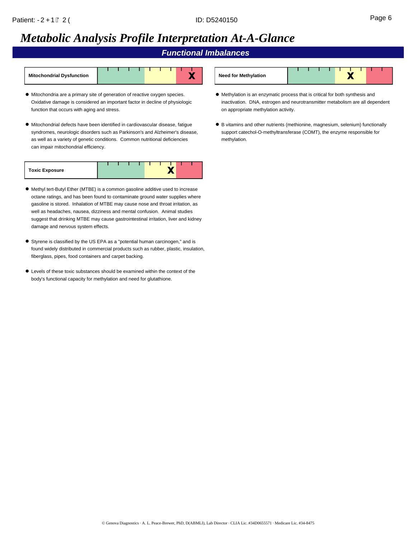## *Metabolic Analysis Profile Interpretation At-A-Glance*

*Functional Imbalances*

| <b>Mitochondrial Dysfunction</b> |  |  |  |  |  |
|----------------------------------|--|--|--|--|--|
|                                  |  |  |  |  |  |

- Mitochondria are a primary site of generation of reactive oxygen species. Oxidative damage is considered an important factor in decline of physiologic function that occurs with aging and stress.
- Mitochondrial defects have been identified in cardiovascular disease, fatigue syndromes, neurologic disorders such as Parkinson's and Alzheimer's disease, as well as a variety of genetic conditions. Common nutritional deficiencies can impair mitochondrial efficiency.

| <b>Toxic Exposure</b> |  |  |  |  |  |
|-----------------------|--|--|--|--|--|

- Methyl tert-Butyl Ether (MTBE) is a common gasoline additive used to increase octane ratings, and has been found to contaminate ground water supplies where gasoline is stored. Inhalation of MTBE may cause nose and throat irritation, as well as headaches, nausea, dizziness and mental confusion. Animal studies suggest that drinking MTBE may cause gastrointestinal irritation, liver and kidney damage and nervous system effects.
- Styrene is classified by the US EPA as a "potential human carcinogen," and is found widely distributed in commercial products such as rubber, plastic, insulation, fiberglass, pipes, food containers and carpet backing.
- Levels of these toxic substances should be examined within the context of the body's functional capacity for methylation and need for glutathione.

| <b>Need for Methylation</b> |  |  |  |  |  |
|-----------------------------|--|--|--|--|--|

- Methylation is an enzymatic process that is critical for both synthesis and inactivation. DNA, estrogen and neurotransmitter metabolism are all dependent on appropriate methylation activity.
- B vitamins and other nutrients (methionine, magnesium, selenium) functionally support catechol-O-methyltransferase (COMT), the enzyme responsible for methylation.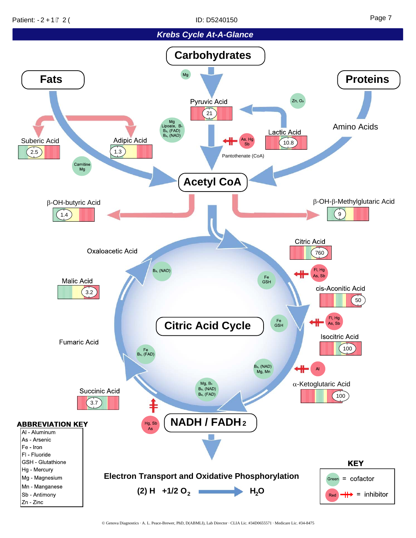